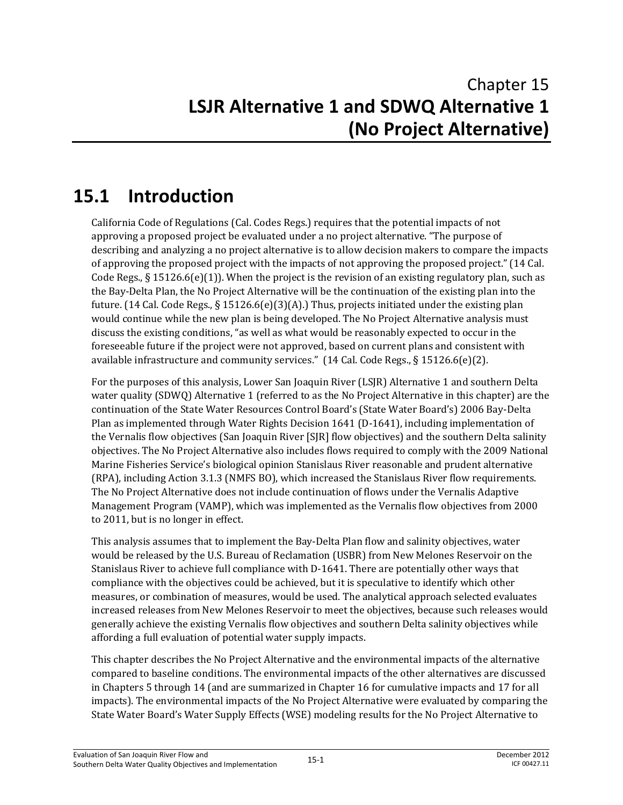# **15.1 Introduction**

California Code of Regulations (Cal. Codes Regs.) requires that the potential impacts of not approving a proposed project be evaluated under a no project alternative. "The purpose of describing and analyzing a no project alternative is to allow decision makers to compare the impacts of approving the proposed project with the impacts of not approving the proposed project." (14 Cal. Code Regs.,  $\S 15126.6(e)(1)$ . When the project is the revision of an existing regulatory plan, such as the Bay-Delta Plan, the No Project Alternative will be the continuation of the existing plan into the future. (14 Cal. Code Regs.,  $\S 15126.6(e)(3)(A)$ .) Thus, projects initiated under the existing plan would continue while the new plan is being developed. The No Project Alternative analysis must discuss the existing conditions, "as well as what would be reasonably expected to occur in the foreseeable future if the project were not approved, based on current plans and consistent with available infrastructure and community services."  $(14$  Cal. Code Regs., § 15126.6(e) $(2)$ .

For the purposes of this analysis, Lower San Joaquin River (LSJR) Alternative 1 and southern Delta water quality (SDWQ) Alternative 1 (referred to as the No Project Alternative in this chapter) are the continuation of the State Water Resources Control Board's (State Water Board's) 2006 Bay-Delta Plan as implemented through Water Rights Decision 1641 (D-1641), including implementation of the Vernalis flow objectives (San Joaquin River [SJR] flow objectives) and the southern Delta salinity objectives. The No Project Alternative also includes flows required to comply with the 2009 National Marine Fisheries Service's biological opinion Stanislaus River reasonable and prudent alternative (RPA), including Action 3.1.3 (NMFS BO), which increased the Stanislaus River flow requirements. The No Project Alternative does not include continuation of flows under the Vernalis Adaptive Management Program (VAMP), which was implemented as the Vernalis flow objectives from 2000 to 2011, but is no longer in effect.

This analysis assumes that to implement the Bay-Delta Plan flow and salinity objectives, water would be released by the U.S. Bureau of Reclamation (USBR) from New Melones Reservoir on the Stanislaus River to achieve full compliance with D-1641. There are potentially other ways that compliance with the objectives could be achieved, but it is speculative to identify which other measures, or combination of measures, would be used. The analytical approach selected evaluates increased releases from New Melones Reservoir to meet the objectives, because such releases would generally achieve the existing Vernalis flow objectives and southern Delta salinity objectives while affording a full evaluation of potential water supply impacts.

This chapter describes the No Project Alternative and the environmental impacts of the alternative compared to baseline conditions. The environmental impacts of the other alternatives are discussed in Chapters 5 through 14 (and are summarized in Chapter 16 for cumulative impacts and 17 for all impacts). The environmental impacts of the No Project Alternative were evaluated by comparing the State Water Board's Water Supply Effects (WSE) modeling results for the No Project Alternative to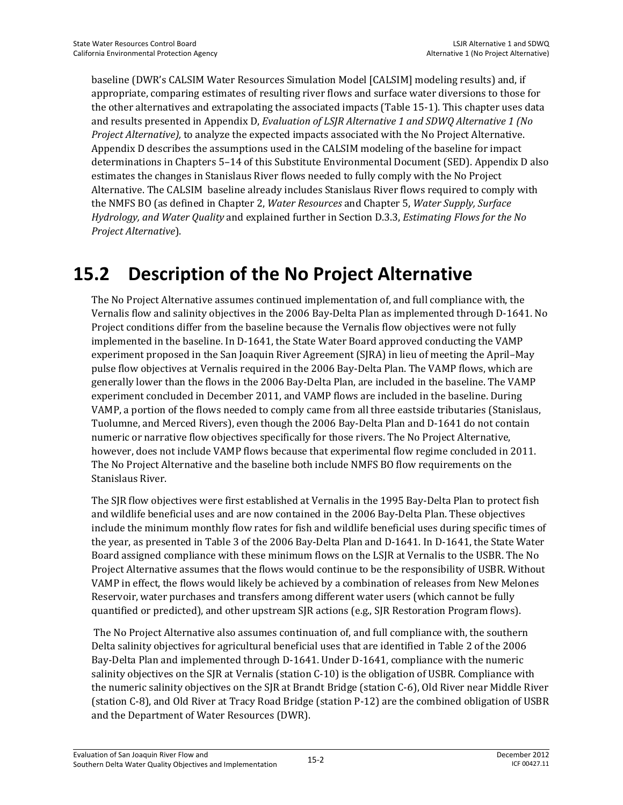baseline (DWR's CALSIM Water Resources Simulation Model [CALSIM] modeling results) and, if appropriate, comparing estimates of resulting river flows and surface water diversions to those for the other alternatives and extrapolating the associated impacts (Table 15-1). This chapter uses data and results presented in Appendix D, *Evaluation of LSJR Alternative 1 and SDWQ Alternative 1 (No Project Alternative),* to analyze the expected impacts associated with the No Project Alternative. Appendix D describes the assumptions used in the CALSIM modeling of the baseline for impact determinations in Chapters 5–14 of this Substitute Environmental Document (SED). Appendix D also estimates the changes in Stanislaus River flows needed to fully comply with the No Project Alternative. The CALSIM baseline already includes Stanislaus River flows required to comply with the NMFS BO (as defined in Chapter 2, *Water Resources* and Chapter 5, *Water Supply, Surface Hydrology, and Water Quality* and explained further in Section D.3.3, *Estimating Flows for the No Project Alternative*).

## **15.2 Description of the No Project Alternative**

The No Project Alternative assumes continued implementation of, and full compliance with, the Vernalis flow and salinity objectives in the 2006 Bay-Delta Plan as implemented through D-1641. No Project conditions differ from the baseline because the Vernalis flow objectives were not fully implemented in the baseline. In D-1641, the State Water Board approved conducting the VAMP experiment proposed in the San Joaquin River Agreement (SJRA) in lieu of meeting the April–May pulse flow objectives at Vernalis required in the 2006 Bay-Delta Plan. The VAMP flows, which are generally lower than the flows in the 2006 Bay-Delta Plan, are included in the baseline. The VAMP experiment concluded in December 2011, and VAMP flows are included in the baseline. During VAMP, a portion of the flows needed to comply came from all three eastside tributaries (Stanislaus, Tuolumne, and Merced Rivers), even though the 2006 Bay-Delta Plan and D-1641 do not contain numeric or narrative flow objectives specifically for those rivers. The No Project Alternative, however, does not include VAMP flows because that experimental flow regime concluded in 2011. The No Project Alternative and the baseline both include NMFS BO flow requirements on the Stanislaus River.

The SJR flow objectives were first established at Vernalis in the 1995 Bay-Delta Plan to protect fish and wildlife beneficial uses and are now contained in the 2006 Bay-Delta Plan. These objectives include the minimum monthly flow rates for fish and wildlife beneficial uses during specific times of the year, as presented in Table 3 of the 2006 Bay-Delta Plan and D-1641. In D-1641, the State Water Board assigned compliance with these minimum flows on the LSJR at Vernalis to the USBR. The No Project Alternative assumes that the flows would continue to be the responsibility of USBR. Without VAMP in effect, the flows would likely be achieved by a combination of releases from New Melones Reservoir, water purchases and transfers among different water users (which cannot be fully quantified or predicted), and other upstream SJR actions (e.g., SJR Restoration Program flows).

 The No Project Alternative also assumes continuation of, and full compliance with, the southern Delta salinity objectives for agricultural beneficial uses that are identified in Table 2 of the 2006 Bay-Delta Plan and implemented through D-1641. Under D-1641, compliance with the numeric salinity objectives on the SJR at Vernalis (station C-10) is the obligation of USBR. Compliance with the numeric salinity objectives on the SJR at Brandt Bridge (station C-6), Old River near Middle River (station C-8), and Old River at Tracy Road Bridge (station P-12) are the combined obligation of USBR and the Department of Water Resources (DWR).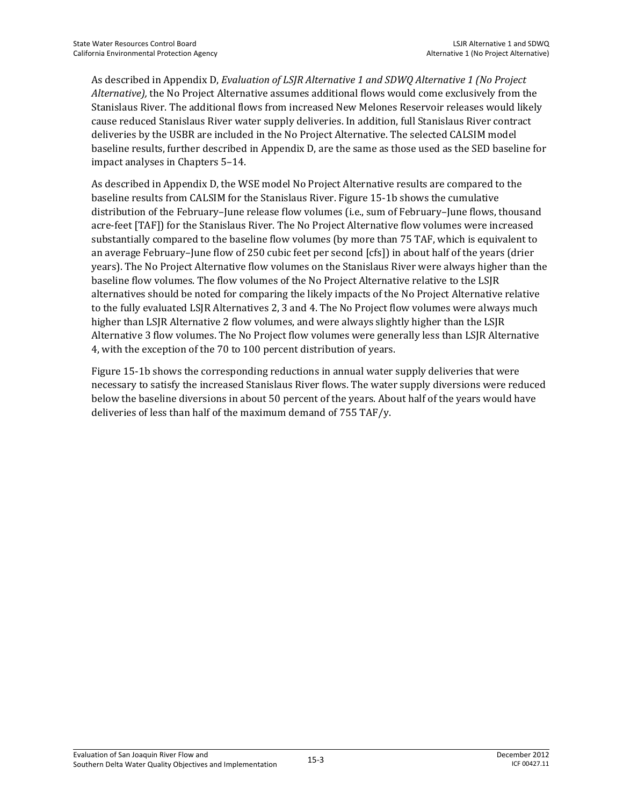As described in Appendix D, *Evaluation of LSJR Alternative 1 and SDWQ Alternative 1 (No Project Alternative),* the No Project Alternative assumes additional flows would come exclusively from the Stanislaus River. The additional flows from increased New Melones Reservoir releases would likely cause reduced Stanislaus River water supply deliveries. In addition, full Stanislaus River contract deliveries by the USBR are included in the No Project Alternative. The selected CALSIM model baseline results, further described in Appendix D, are the same as those used as the SED baseline for impact analyses in Chapters 5–14.

As described in Appendix D, the WSE model No Project Alternative results are compared to the baseline results from CALSIM for the Stanislaus River. Figure 15-1b shows the cumulative distribution of the February–June release flow volumes (i.e., sum of February–June flows, thousand acre-feet [TAF]) for the Stanislaus River. The No Project Alternative flow volumes were increased substantially compared to the baseline flow volumes (by more than 75 TAF, which is equivalent to an average February–June flow of 250 cubic feet per second [cfs]) in about half of the years (drier years). The No Project Alternative flow volumes on the Stanislaus River were always higher than the baseline flow volumes. The flow volumes of the No Project Alternative relative to the LSJR alternatives should be noted for comparing the likely impacts of the No Project Alternative relative to the fully evaluated LSJR Alternatives 2, 3 and 4. The No Project flow volumes were always much higher than LSJR Alternative 2 flow volumes, and were always slightly higher than the LSJR Alternative 3 flow volumes. The No Project flow volumes were generally less than LSJR Alternative 4, with the exception of the 70 to 100 percent distribution of years.

Figure 15-1b shows the corresponding reductions in annual water supply deliveries that were necessary to satisfy the increased Stanislaus River flows. The water supply diversions were reduced below the baseline diversions in about 50 percent of the years. About half of the years would have deliveries of less than half of the maximum demand of 755 TAF/y.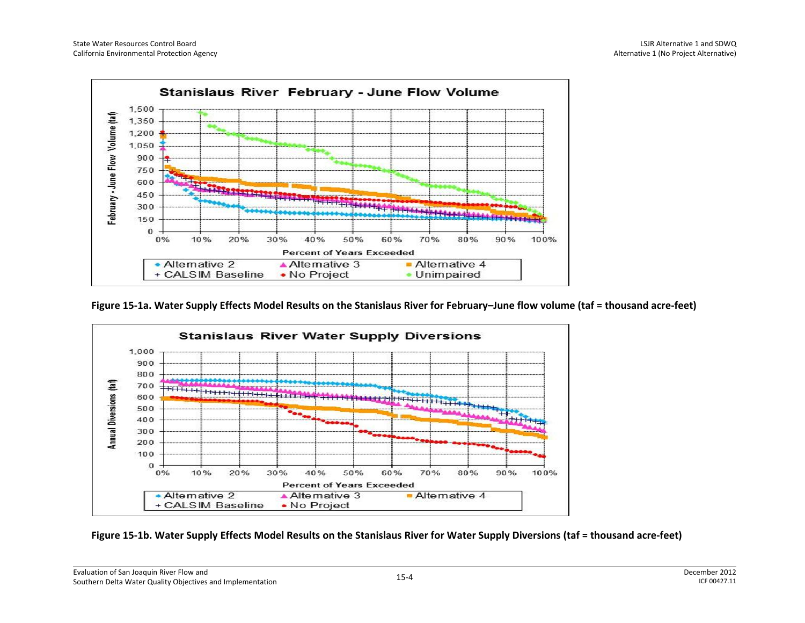

**Figure 15-1a. Water Supply Effects Model Results on the Stanislaus River for February–June flow volume (taf = thousand acre-feet)** 



**Figure 15-1b. Water Supply Effects Model Results on the Stanislaus River for Water Supply Diversions (taf = thousand acre-feet)**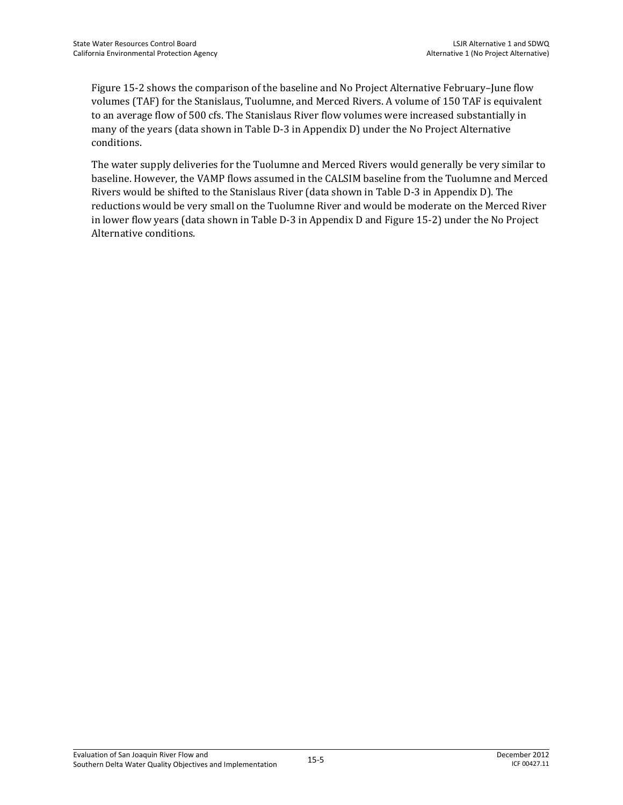Figure 15-2 shows the comparison of the baseline and No Project Alternative February–June flow volumes (TAF) for the Stanislaus, Tuolumne, and Merced Rivers. A volume of 150 TAF is equivalent to an average flow of 500 cfs. The Stanislaus River flow volumes were increased substantially in many of the years (data shown in Table D-3 in Appendix D) under the No Project Alternative conditions.

The water supply deliveries for the Tuolumne and Merced Rivers would generally be very similar to baseline. However, the VAMP flows assumed in the CALSIM baseline from the Tuolumne and Merced Rivers would be shifted to the Stanislaus River (data shown in Table D-3 in Appendix D). The reductions would be very small on the Tuolumne River and would be moderate on the Merced River in lower flow years (data shown in Table D-3 in Appendix D and Figure 15-2) under the No Project Alternative conditions.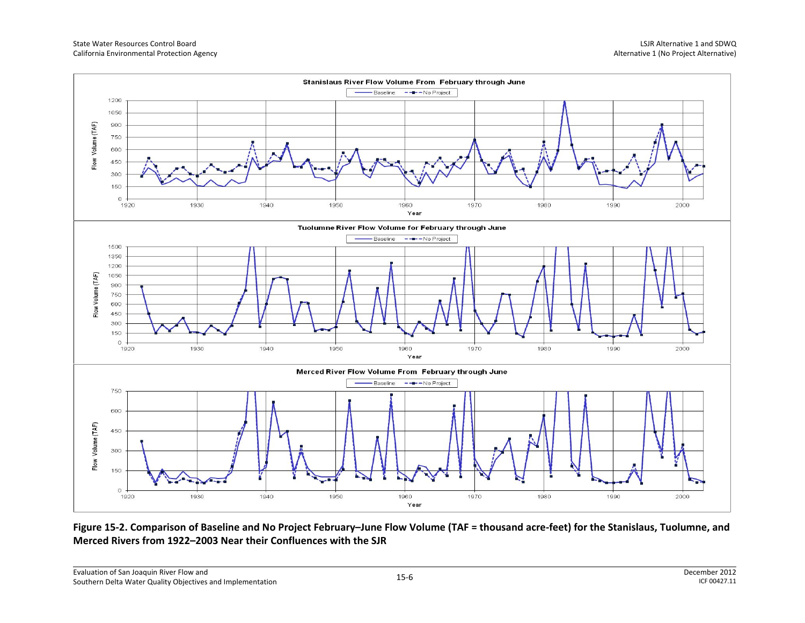

**Figure 15-2. Comparison of Baseline and No Project February–June Flow Volume (TAF = thousand acre-feet) for the Stanislaus, Tuolumne, and Merced Rivers from 1922–2003 Near their Confluences with the SJR**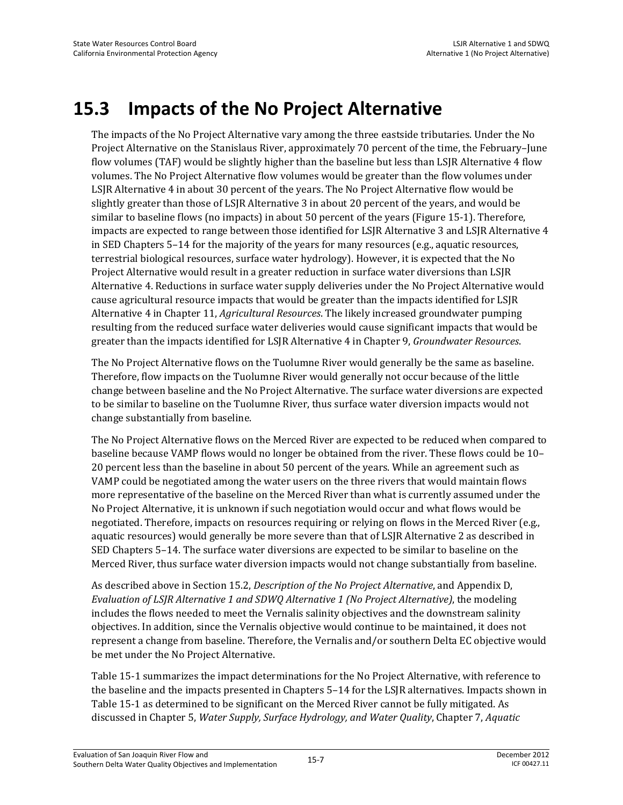## **15.3 Impacts of the No Project Alternative**

The impacts of the No Project Alternative vary among the three eastside tributaries. Under the No Project Alternative on the Stanislaus River, approximately 70 percent of the time, the February–June flow volumes (TAF) would be slightly higher than the baseline but less than LSJR Alternative 4 flow volumes. The No Project Alternative flow volumes would be greater than the flow volumes under LSJR Alternative 4 in about 30 percent of the years. The No Project Alternative flow would be slightly greater than those of LSJR Alternative 3 in about 20 percent of the years, and would be similar to baseline flows (no impacts) in about 50 percent of the years (Figure 15-1). Therefore, impacts are expected to range between those identified for LSJR Alternative 3 and LSJR Alternative 4 in SED Chapters 5–14 for the majority of the years for many resources (e.g., aquatic resources, terrestrial biological resources, surface water hydrology). However, it is expected that the No Project Alternative would result in a greater reduction in surface water diversions than LSJR Alternative 4. Reductions in surface water supply deliveries under the No Project Alternative would cause agricultural resource impacts that would be greater than the impacts identified for LSJR Alternative 4 in Chapter 11, *Agricultural Resources*. The likely increased groundwater pumping resulting from the reduced surface water deliveries would cause significant impacts that would be greater than the impacts identified for LSJR Alternative 4 in Chapter 9, *Groundwater Resources*.

The No Project Alternative flows on the Tuolumne River would generally be the same as baseline. Therefore, flow impacts on the Tuolumne River would generally not occur because of the little change between baseline and the No Project Alternative. The surface water diversions are expected to be similar to baseline on the Tuolumne River, thus surface water diversion impacts would not change substantially from baseline.

The No Project Alternative flows on the Merced River are expected to be reduced when compared to baseline because VAMP flows would no longer be obtained from the river. These flows could be 10– 20 percent less than the baseline in about 50 percent of the years. While an agreement such as VAMP could be negotiated among the water users on the three rivers that would maintain flows more representative of the baseline on the Merced River than what is currently assumed under the No Project Alternative, it is unknown if such negotiation would occur and what flows would be negotiated. Therefore, impacts on resources requiring or relying on flows in the Merced River (e.g., aquatic resources) would generally be more severe than that of LSJR Alternative 2 as described in SED Chapters 5–14. The surface water diversions are expected to be similar to baseline on the Merced River, thus surface water diversion impacts would not change substantially from baseline.

As described above in Section 15.2, *Description of the No Project Alternative*, and Appendix D, *Evaluation of LSJR Alternative 1 and SDWQ Alternative 1 (No Project Alternative)*, the modeling includes the flows needed to meet the Vernalis salinity objectives and the downstream salinity objectives. In addition, since the Vernalis objective would continue to be maintained, it does not represent a change from baseline. Therefore, the Vernalis and/or southern Delta EC objective would be met under the No Project Alternative.

Table 15-1 summarizes the impact determinations for the No Project Alternative, with reference to the baseline and the impacts presented in Chapters 5–14 for the LSJR alternatives. Impacts shown in Table 15-1 as determined to be significant on the Merced River cannot be fully mitigated. As discussed in Chapter 5, *Water Supply, Surface Hydrology, and Water Quality*, Chapter 7, *Aquatic*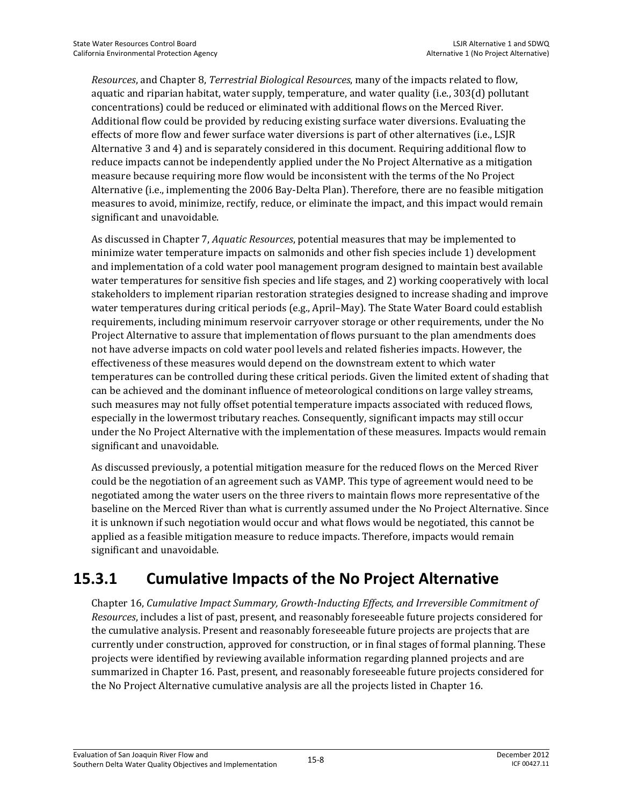*Resources*, and Chapter 8, *Terrestrial Biological Resources*, many of the impacts related to flow, aquatic and riparian habitat, water supply, temperature, and water quality (i.e., 303(d) pollutant concentrations) could be reduced or eliminated with additional flows on the Merced River. Additional flow could be provided by reducing existing surface water diversions. Evaluating the effects of more flow and fewer surface water diversions is part of other alternatives (i.e., LSJR Alternative 3 and 4) and is separately considered in this document. Requiring additional flow to reduce impacts cannot be independently applied under the No Project Alternative as a mitigation measure because requiring more flow would be inconsistent with the terms of the No Project Alternative (i.e., implementing the 2006 Bay-Delta Plan). Therefore, there are no feasible mitigation measures to avoid, minimize, rectify, reduce, or eliminate the impact, and this impact would remain significant and unavoidable.

As discussed in Chapter 7, *Aquatic Resources*, potential measures that may be implemented to minimize water temperature impacts on salmonids and other fish species include 1) development and implementation of a cold water pool management program designed to maintain best available water temperatures for sensitive fish species and life stages, and 2) working cooperatively with local stakeholders to implement riparian restoration strategies designed to increase shading and improve water temperatures during critical periods (e.g., April–May). The State Water Board could establish requirements, including minimum reservoir carryover storage or other requirements, under the No Project Alternative to assure that implementation of flows pursuant to the plan amendments does not have adverse impacts on cold water pool levels and related fisheries impacts. However, the effectiveness of these measures would depend on the downstream extent to which water temperatures can be controlled during these critical periods. Given the limited extent of shading that can be achieved and the dominant influence of meteorological conditions on large valley streams, such measures may not fully offset potential temperature impacts associated with reduced flows, especially in the lowermost tributary reaches. Consequently, significant impacts may still occur under the No Project Alternative with the implementation of these measures. Impacts would remain significant and unavoidable.

As discussed previously, a potential mitigation measure for the reduced flows on the Merced River could be the negotiation of an agreement such as VAMP. This type of agreement would need to be negotiated among the water users on the three rivers to maintain flows more representative of the baseline on the Merced River than what is currently assumed under the No Project Alternative. Since it is unknown if such negotiation would occur and what flows would be negotiated, this cannot be applied as a feasible mitigation measure to reduce impacts. Therefore, impacts would remain significant and unavoidable.

#### **15.3.1 Cumulative Impacts of the No Project Alternative**

Chapter 16, *Cumulative Impact Summary, Growth-Inducting Effects, and Irreversible Commitment of Resources*, includes a list of past, present, and reasonably foreseeable future projects considered for the cumulative analysis. Present and reasonably foreseeable future projects are projects that are currently under construction, approved for construction, or in final stages of formal planning. These projects were identified by reviewing available information regarding planned projects and are summarized in Chapter 16. Past, present, and reasonably foreseeable future projects considered for the No Project Alternative cumulative analysis are all the projects listed in Chapter 16.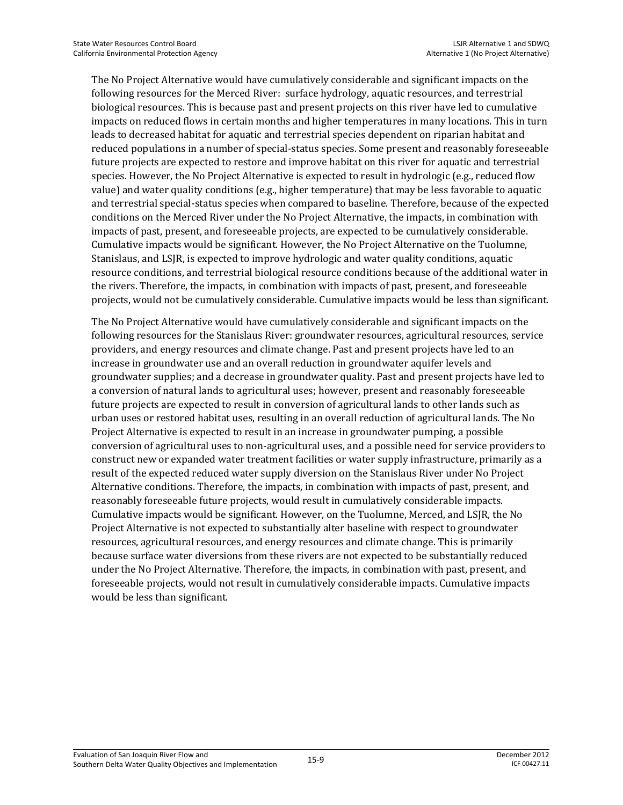The No Project Alternative would have cumulatively considerable and significant impacts on the following resources for the Merced River: surface hydrology, aquatic resources, and terrestrial biological resources. This is because past and present projects on this river have led to cumulative impacts on reduced flows in certain months and higher temperatures in many locations. This in turn leads to decreased habitat for aquatic and terrestrial species dependent on riparian habitat and reduced populations in a number of special-status species. Some present and reasonably foreseeable future projects are expected to restore and improve habitat on this river for aquatic and terrestrial species. However, the No Project Alternative is expected to result in hydrologic (e.g., reduced flow value) and water quality conditions (e.g., higher temperature) that may be less favorable to aquatic and terrestrial special-status species when compared to baseline. Therefore, because of the expected conditions on the Merced River under the No Project Alternative, the impacts, in combination with impacts of past, present, and foreseeable projects, are expected to be cumulatively considerable. Cumulative impacts would be significant. However, the No Project Alternative on the Tuolumne, Stanislaus, and LSJR, is expected to improve hydrologic and water quality conditions, aquatic resource conditions, and terrestrial biological resource conditions because of the additional water in the rivers. Therefore, the impacts, in combination with impacts of past, present, and foreseeable projects, would not be cumulatively considerable. Cumulative impacts would be less than significant.

The No Project Alternative would have cumulatively considerable and significant impacts on the following resources for the Stanislaus River: groundwater resources, agricultural resources, service providers, and energy resources and climate change. Past and present projects have led to an increase in groundwater use and an overall reduction in groundwater aquifer levels and groundwater supplies; and a decrease in groundwater quality. Past and present projects have led to a conversion of natural lands to agricultural uses; however, present and reasonably foreseeable future projects are expected to result in conversion of agricultural lands to other lands such as urban uses or restored habitat uses, resulting in an overall reduction of agricultural lands. The No Project Alternative is expected to result in an increase in groundwater pumping, a possible conversion of agricultural uses to non-agricultural uses, and a possible need for service providers to construct new or expanded water treatment facilities or water supply infrastructure, primarily as a result of the expected reduced water supply diversion on the Stanislaus River under No Project Alternative conditions. Therefore, the impacts, in combination with impacts of past, present, and reasonably foreseeable future projects, would result in cumulatively considerable impacts. Cumulative impacts would be significant. However, on the Tuolumne, Merced, and LSJR, the No Project Alternative is not expected to substantially alter baseline with respect to groundwater resources, agricultural resources, and energy resources and climate change. This is primarily because surface water diversions from these rivers are not expected to be substantially reduced under the No Project Alternative. Therefore, the impacts, in combination with past, present, and foreseeable projects, would not result in cumulatively considerable impacts. Cumulative impacts would be less than significant.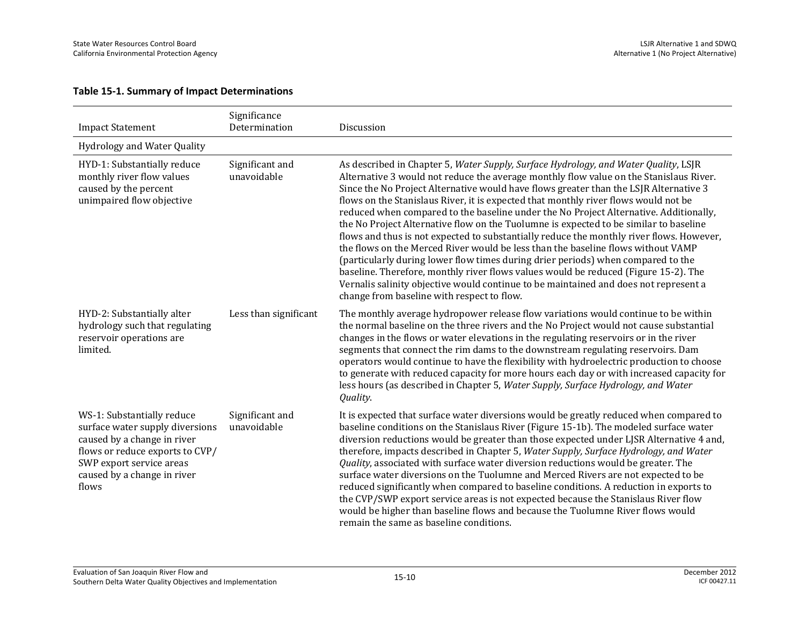#### **Table 15-1. Summary of Impact Determinations**

| <b>Impact Statement</b>                                                                                                                                                                             | Significance<br>Determination  | Discussion                                                                                                                                                                                                                                                                                                                                                                                                                                                                                                                                                                                                                                                                                                                                                                                                                                                                                                                                                                                                                                       |
|-----------------------------------------------------------------------------------------------------------------------------------------------------------------------------------------------------|--------------------------------|--------------------------------------------------------------------------------------------------------------------------------------------------------------------------------------------------------------------------------------------------------------------------------------------------------------------------------------------------------------------------------------------------------------------------------------------------------------------------------------------------------------------------------------------------------------------------------------------------------------------------------------------------------------------------------------------------------------------------------------------------------------------------------------------------------------------------------------------------------------------------------------------------------------------------------------------------------------------------------------------------------------------------------------------------|
| <b>Hydrology and Water Quality</b>                                                                                                                                                                  |                                |                                                                                                                                                                                                                                                                                                                                                                                                                                                                                                                                                                                                                                                                                                                                                                                                                                                                                                                                                                                                                                                  |
| HYD-1: Substantially reduce<br>monthly river flow values<br>caused by the percent<br>unimpaired flow objective                                                                                      | Significant and<br>unavoidable | As described in Chapter 5, Water Supply, Surface Hydrology, and Water Quality, LSJR<br>Alternative 3 would not reduce the average monthly flow value on the Stanislaus River.<br>Since the No Project Alternative would have flows greater than the LSJR Alternative 3<br>flows on the Stanislaus River, it is expected that monthly river flows would not be<br>reduced when compared to the baseline under the No Project Alternative. Additionally,<br>the No Project Alternative flow on the Tuolumne is expected to be similar to baseline<br>flows and thus is not expected to substantially reduce the monthly river flows. However,<br>the flows on the Merced River would be less than the baseline flows without VAMP<br>(particularly during lower flow times during drier periods) when compared to the<br>baseline. Therefore, monthly river flows values would be reduced (Figure 15-2). The<br>Vernalis salinity objective would continue to be maintained and does not represent a<br>change from baseline with respect to flow. |
| HYD-2: Substantially alter<br>hydrology such that regulating<br>reservoir operations are<br>limited.                                                                                                | Less than significant          | The monthly average hydropower release flow variations would continue to be within<br>the normal baseline on the three rivers and the No Project would not cause substantial<br>changes in the flows or water elevations in the regulating reservoirs or in the river<br>segments that connect the rim dams to the downstream regulating reservoirs. Dam<br>operators would continue to have the flexibility with hydroelectric production to choose<br>to generate with reduced capacity for more hours each day or with increased capacity for<br>less hours (as described in Chapter 5, Water Supply, Surface Hydrology, and Water<br>Quality.                                                                                                                                                                                                                                                                                                                                                                                                |
| WS-1: Substantially reduce<br>surface water supply diversions<br>caused by a change in river<br>flows or reduce exports to CVP/<br>SWP export service areas<br>caused by a change in river<br>flows | Significant and<br>unavoidable | It is expected that surface water diversions would be greatly reduced when compared to<br>baseline conditions on the Stanislaus River (Figure 15-1b). The modeled surface water<br>diversion reductions would be greater than those expected under LJSR Alternative 4 and,<br>therefore, impacts described in Chapter 5, Water Supply, Surface Hydrology, and Water<br>Quality, associated with surface water diversion reductions would be greater. The<br>surface water diversions on the Tuolumne and Merced Rivers are not expected to be<br>reduced significantly when compared to baseline conditions. A reduction in exports to<br>the CVP/SWP export service areas is not expected because the Stanislaus River flow<br>would be higher than baseline flows and because the Tuolumne River flows would<br>remain the same as baseline conditions.                                                                                                                                                                                        |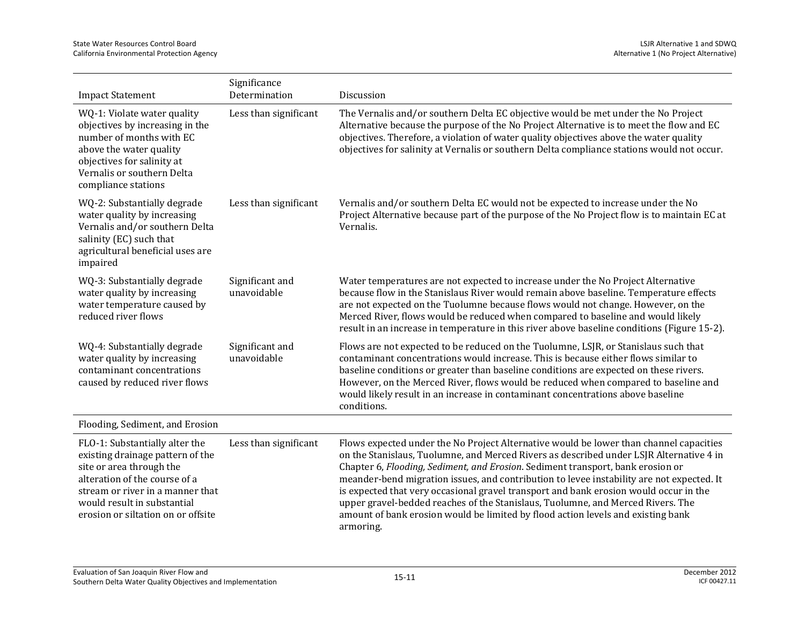| <b>Impact Statement</b>                                                                                                                                                                                                                  | Significance<br>Determination  | Discussion                                                                                                                                                                                                                                                                                                                                                                                                                                                                                                                                                                                                                                     |
|------------------------------------------------------------------------------------------------------------------------------------------------------------------------------------------------------------------------------------------|--------------------------------|------------------------------------------------------------------------------------------------------------------------------------------------------------------------------------------------------------------------------------------------------------------------------------------------------------------------------------------------------------------------------------------------------------------------------------------------------------------------------------------------------------------------------------------------------------------------------------------------------------------------------------------------|
| WQ-1: Violate water quality<br>objectives by increasing in the<br>number of months with EC<br>above the water quality<br>objectives for salinity at<br>Vernalis or southern Delta<br>compliance stations                                 | Less than significant          | The Vernalis and/or southern Delta EC objective would be met under the No Project<br>Alternative because the purpose of the No Project Alternative is to meet the flow and EC<br>objectives. Therefore, a violation of water quality objectives above the water quality<br>objectives for salinity at Vernalis or southern Delta compliance stations would not occur.                                                                                                                                                                                                                                                                          |
| WQ-2: Substantially degrade<br>water quality by increasing<br>Vernalis and/or southern Delta<br>salinity (EC) such that<br>agricultural beneficial uses are<br>impaired                                                                  | Less than significant          | Vernalis and/or southern Delta EC would not be expected to increase under the No<br>Project Alternative because part of the purpose of the No Project flow is to maintain EC at<br>Vernalis.                                                                                                                                                                                                                                                                                                                                                                                                                                                   |
| WQ-3: Substantially degrade<br>water quality by increasing<br>water temperature caused by<br>reduced river flows                                                                                                                         | Significant and<br>unavoidable | Water temperatures are not expected to increase under the No Project Alternative<br>because flow in the Stanislaus River would remain above baseline. Temperature effects<br>are not expected on the Tuolumne because flows would not change. However, on the<br>Merced River, flows would be reduced when compared to baseline and would likely<br>result in an increase in temperature in this river above baseline conditions (Figure 15-2).                                                                                                                                                                                                |
| WQ-4: Substantially degrade<br>water quality by increasing<br>contaminant concentrations<br>caused by reduced river flows                                                                                                                | Significant and<br>unavoidable | Flows are not expected to be reduced on the Tuolumne, LSJR, or Stanislaus such that<br>contaminant concentrations would increase. This is because either flows similar to<br>baseline conditions or greater than baseline conditions are expected on these rivers.<br>However, on the Merced River, flows would be reduced when compared to baseline and<br>would likely result in an increase in contaminant concentrations above baseline<br>conditions.                                                                                                                                                                                     |
| Flooding, Sediment, and Erosion                                                                                                                                                                                                          |                                |                                                                                                                                                                                                                                                                                                                                                                                                                                                                                                                                                                                                                                                |
| FLO-1: Substantially alter the<br>existing drainage pattern of the<br>site or area through the<br>alteration of the course of a<br>stream or river in a manner that<br>would result in substantial<br>erosion or siltation on or offsite | Less than significant          | Flows expected under the No Project Alternative would be lower than channel capacities<br>on the Stanislaus, Tuolumne, and Merced Rivers as described under LSJR Alternative 4 in<br>Chapter 6, Flooding, Sediment, and Erosion. Sediment transport, bank erosion or<br>meander-bend migration issues, and contribution to levee instability are not expected. It<br>is expected that very occasional gravel transport and bank erosion would occur in the<br>upper gravel-bedded reaches of the Stanislaus, Tuolumne, and Merced Rivers. The<br>amount of bank erosion would be limited by flood action levels and existing bank<br>armoring. |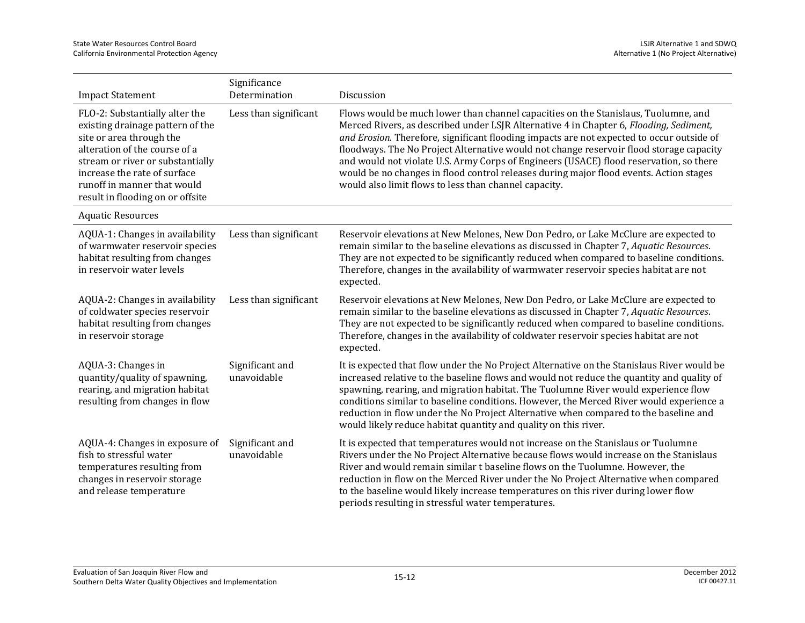| <b>Impact Statement</b>                                                                                                                                                                                                                                                | Significance<br>Determination  | Discussion                                                                                                                                                                                                                                                                                                                                                                                                                                                                                                                                                                                                        |
|------------------------------------------------------------------------------------------------------------------------------------------------------------------------------------------------------------------------------------------------------------------------|--------------------------------|-------------------------------------------------------------------------------------------------------------------------------------------------------------------------------------------------------------------------------------------------------------------------------------------------------------------------------------------------------------------------------------------------------------------------------------------------------------------------------------------------------------------------------------------------------------------------------------------------------------------|
| FLO-2: Substantially alter the<br>existing drainage pattern of the<br>site or area through the<br>alteration of the course of a<br>stream or river or substantially<br>increase the rate of surface<br>runoff in manner that would<br>result in flooding on or offsite | Less than significant          | Flows would be much lower than channel capacities on the Stanislaus, Tuolumne, and<br>Merced Rivers, as described under LSJR Alternative 4 in Chapter 6, Flooding, Sediment,<br>and Erosion. Therefore, significant flooding impacts are not expected to occur outside of<br>floodways. The No Project Alternative would not change reservoir flood storage capacity<br>and would not violate U.S. Army Corps of Engineers (USACE) flood reservation, so there<br>would be no changes in flood control releases during major flood events. Action stages<br>would also limit flows to less than channel capacity. |
| <b>Aquatic Resources</b>                                                                                                                                                                                                                                               |                                |                                                                                                                                                                                                                                                                                                                                                                                                                                                                                                                                                                                                                   |
| AQUA-1: Changes in availability<br>of warmwater reservoir species<br>habitat resulting from changes<br>in reservoir water levels                                                                                                                                       | Less than significant          | Reservoir elevations at New Melones, New Don Pedro, or Lake McClure are expected to<br>remain similar to the baseline elevations as discussed in Chapter 7, Aquatic Resources.<br>They are not expected to be significantly reduced when compared to baseline conditions.<br>Therefore, changes in the availability of warmwater reservoir species habitat are not<br>expected.                                                                                                                                                                                                                                   |
| AQUA-2: Changes in availability<br>of coldwater species reservoir<br>habitat resulting from changes<br>in reservoir storage                                                                                                                                            | Less than significant          | Reservoir elevations at New Melones, New Don Pedro, or Lake McClure are expected to<br>remain similar to the baseline elevations as discussed in Chapter 7, Aquatic Resources.<br>They are not expected to be significantly reduced when compared to baseline conditions.<br>Therefore, changes in the availability of coldwater reservoir species habitat are not<br>expected.                                                                                                                                                                                                                                   |
| AQUA-3: Changes in<br>quantity/quality of spawning,<br>rearing, and migration habitat<br>resulting from changes in flow                                                                                                                                                | Significant and<br>unavoidable | It is expected that flow under the No Project Alternative on the Stanislaus River would be<br>increased relative to the baseline flows and would not reduce the quantity and quality of<br>spawning, rearing, and migration habitat. The Tuolumne River would experience flow<br>conditions similar to baseline conditions. However, the Merced River would experience a<br>reduction in flow under the No Project Alternative when compared to the baseline and<br>would likely reduce habitat quantity and quality on this river.                                                                               |
| AQUA-4: Changes in exposure of<br>fish to stressful water<br>temperatures resulting from<br>changes in reservoir storage<br>and release temperature                                                                                                                    | Significant and<br>unavoidable | It is expected that temperatures would not increase on the Stanislaus or Tuolumne<br>Rivers under the No Project Alternative because flows would increase on the Stanislaus<br>River and would remain similar t baseline flows on the Tuolumne. However, the<br>reduction in flow on the Merced River under the No Project Alternative when compared<br>to the baseline would likely increase temperatures on this river during lower flow<br>periods resulting in stressful water temperatures.                                                                                                                  |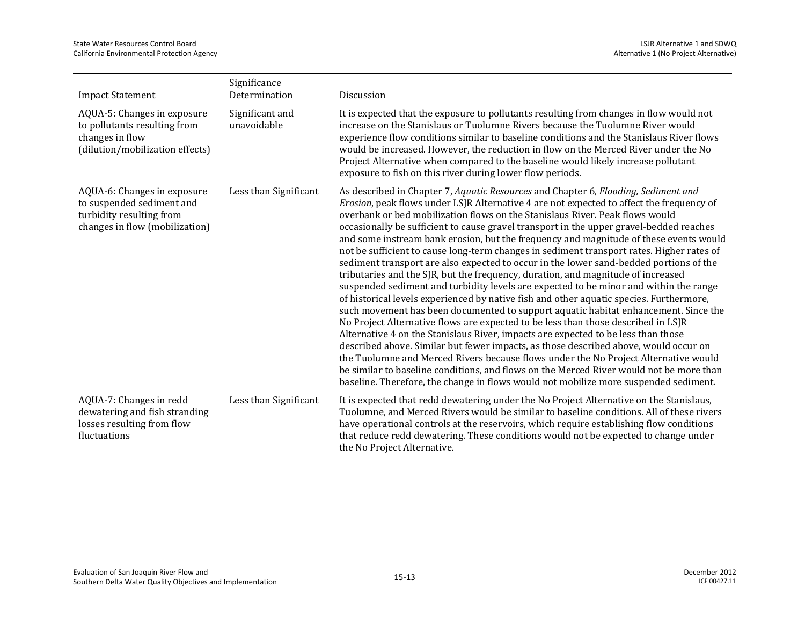| <b>Impact Statement</b>                                                                                                | Significance<br>Determination  | Discussion                                                                                                                                                                                                                                                                                                                                                                                                                                                                                                                                                                                                                                                                                                                                                                                                                                                                                                                                                                                                                                                                                                                                                                                                                                                                                                                                                                                                                                                                                                                                           |
|------------------------------------------------------------------------------------------------------------------------|--------------------------------|------------------------------------------------------------------------------------------------------------------------------------------------------------------------------------------------------------------------------------------------------------------------------------------------------------------------------------------------------------------------------------------------------------------------------------------------------------------------------------------------------------------------------------------------------------------------------------------------------------------------------------------------------------------------------------------------------------------------------------------------------------------------------------------------------------------------------------------------------------------------------------------------------------------------------------------------------------------------------------------------------------------------------------------------------------------------------------------------------------------------------------------------------------------------------------------------------------------------------------------------------------------------------------------------------------------------------------------------------------------------------------------------------------------------------------------------------------------------------------------------------------------------------------------------------|
| AQUA-5: Changes in exposure<br>to pollutants resulting from<br>changes in flow<br>(dilution/mobilization effects)      | Significant and<br>unavoidable | It is expected that the exposure to pollutants resulting from changes in flow would not<br>increase on the Stanislaus or Tuolumne Rivers because the Tuolumne River would<br>experience flow conditions similar to baseline conditions and the Stanislaus River flows<br>would be increased. However, the reduction in flow on the Merced River under the No<br>Project Alternative when compared to the baseline would likely increase pollutant<br>exposure to fish on this river during lower flow periods.                                                                                                                                                                                                                                                                                                                                                                                                                                                                                                                                                                                                                                                                                                                                                                                                                                                                                                                                                                                                                                       |
| AQUA-6: Changes in exposure<br>to suspended sediment and<br>turbidity resulting from<br>changes in flow (mobilization) | Less than Significant          | As described in Chapter 7, Aquatic Resources and Chapter 6, Flooding, Sediment and<br>Erosion, peak flows under LSJR Alternative 4 are not expected to affect the frequency of<br>overbank or bed mobilization flows on the Stanislaus River. Peak flows would<br>occasionally be sufficient to cause gravel transport in the upper gravel-bedded reaches<br>and some instream bank erosion, but the frequency and magnitude of these events would<br>not be sufficient to cause long-term changes in sediment transport rates. Higher rates of<br>sediment transport are also expected to occur in the lower sand-bedded portions of the<br>tributaries and the SJR, but the frequency, duration, and magnitude of increased<br>suspended sediment and turbidity levels are expected to be minor and within the range<br>of historical levels experienced by native fish and other aquatic species. Furthermore,<br>such movement has been documented to support aquatic habitat enhancement. Since the<br>No Project Alternative flows are expected to be less than those described in LSJR<br>Alternative 4 on the Stanislaus River, impacts are expected to be less than those<br>described above. Similar but fewer impacts, as those described above, would occur on<br>the Tuolumne and Merced Rivers because flows under the No Project Alternative would<br>be similar to baseline conditions, and flows on the Merced River would not be more than<br>baseline. Therefore, the change in flows would not mobilize more suspended sediment. |
| AQUA-7: Changes in redd<br>dewatering and fish stranding<br>losses resulting from flow<br>fluctuations                 | Less than Significant          | It is expected that redd dewatering under the No Project Alternative on the Stanislaus,<br>Tuolumne, and Merced Rivers would be similar to baseline conditions. All of these rivers<br>have operational controls at the reservoirs, which require establishing flow conditions<br>that reduce redd dewatering. These conditions would not be expected to change under<br>the No Project Alternative.                                                                                                                                                                                                                                                                                                                                                                                                                                                                                                                                                                                                                                                                                                                                                                                                                                                                                                                                                                                                                                                                                                                                                 |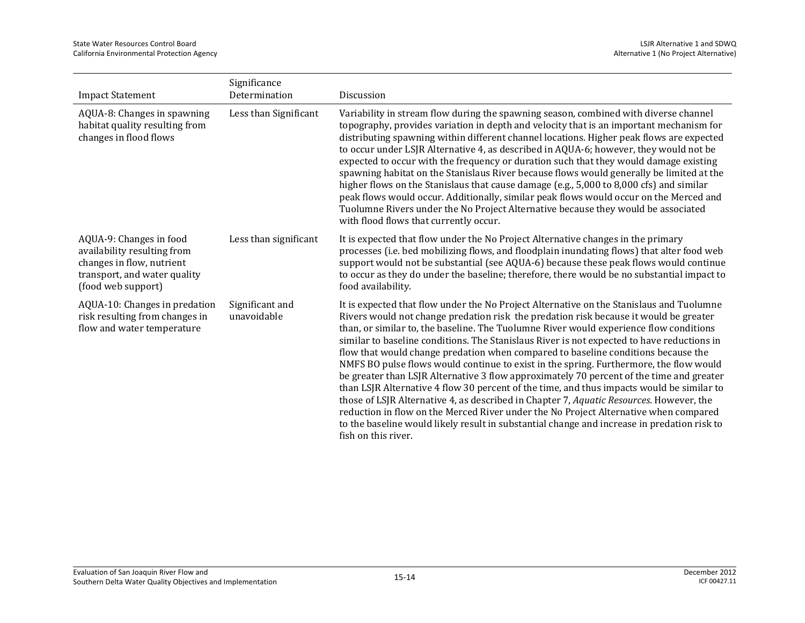| <b>Impact Statement</b>                                                                                                                   | Significance<br>Determination  | Discussion                                                                                                                                                                                                                                                                                                                                                                                                                                                                                                                                                                                                                                                                                                                                                                                                                                                                                                                                                                                                                                                 |
|-------------------------------------------------------------------------------------------------------------------------------------------|--------------------------------|------------------------------------------------------------------------------------------------------------------------------------------------------------------------------------------------------------------------------------------------------------------------------------------------------------------------------------------------------------------------------------------------------------------------------------------------------------------------------------------------------------------------------------------------------------------------------------------------------------------------------------------------------------------------------------------------------------------------------------------------------------------------------------------------------------------------------------------------------------------------------------------------------------------------------------------------------------------------------------------------------------------------------------------------------------|
| AQUA-8: Changes in spawning<br>habitat quality resulting from<br>changes in flood flows                                                   | Less than Significant          | Variability in stream flow during the spawning season, combined with diverse channel<br>topography, provides variation in depth and velocity that is an important mechanism for<br>distributing spawning within different channel locations. Higher peak flows are expected<br>to occur under LSJR Alternative 4, as described in AQUA-6; however, they would not be<br>expected to occur with the frequency or duration such that they would damage existing<br>spawning habitat on the Stanislaus River because flows would generally be limited at the<br>higher flows on the Stanislaus that cause damage (e.g., 5,000 to 8,000 cfs) and similar<br>peak flows would occur. Additionally, similar peak flows would occur on the Merced and<br>Tuolumne Rivers under the No Project Alternative because they would be associated<br>with flood flows that currently occur.                                                                                                                                                                              |
| AQUA-9: Changes in food<br>availability resulting from<br>changes in flow, nutrient<br>transport, and water quality<br>(food web support) | Less than significant          | It is expected that flow under the No Project Alternative changes in the primary<br>processes (i.e. bed mobilizing flows, and floodplain inundating flows) that alter food web<br>support would not be substantial (see AQUA-6) because these peak flows would continue<br>to occur as they do under the baseline; therefore, there would be no substantial impact to<br>food availability.                                                                                                                                                                                                                                                                                                                                                                                                                                                                                                                                                                                                                                                                |
| AQUA-10: Changes in predation<br>risk resulting from changes in<br>flow and water temperature                                             | Significant and<br>unavoidable | It is expected that flow under the No Project Alternative on the Stanislaus and Tuolumne<br>Rivers would not change predation risk the predation risk because it would be greater<br>than, or similar to, the baseline. The Tuolumne River would experience flow conditions<br>similar to baseline conditions. The Stanislaus River is not expected to have reductions in<br>flow that would change predation when compared to baseline conditions because the<br>NMFS BO pulse flows would continue to exist in the spring. Furthermore, the flow would<br>be greater than LSJR Alternative 3 flow approximately 70 percent of the time and greater<br>than LSJR Alternative 4 flow 30 percent of the time, and thus impacts would be similar to<br>those of LSJR Alternative 4, as described in Chapter 7, Aquatic Resources. However, the<br>reduction in flow on the Merced River under the No Project Alternative when compared<br>to the baseline would likely result in substantial change and increase in predation risk to<br>fish on this river. |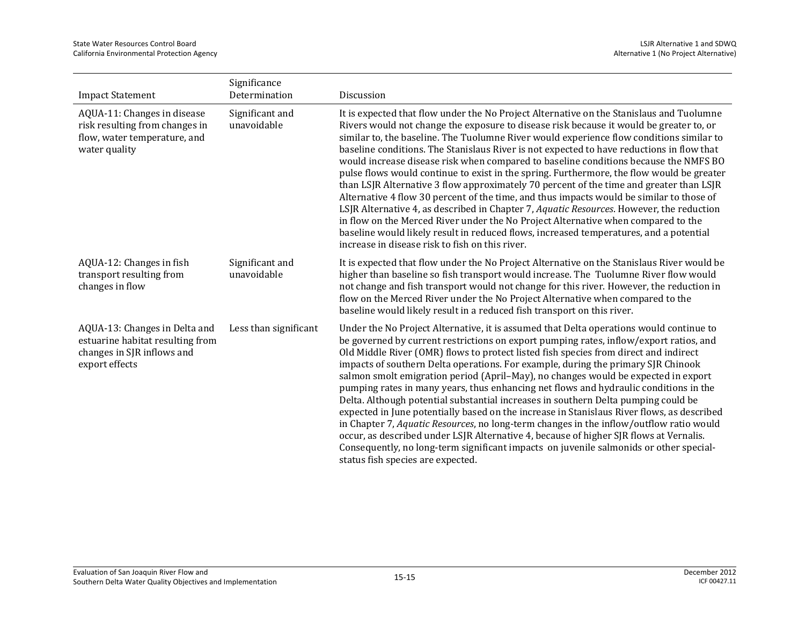| <b>Impact Statement</b>                                                                                           | Significance<br>Determination  | Discussion                                                                                                                                                                                                                                                                                                                                                                                                                                                                                                                                                                                                                                                                                                                                                                                                                                                                                                                                                                                                                                                                             |
|-------------------------------------------------------------------------------------------------------------------|--------------------------------|----------------------------------------------------------------------------------------------------------------------------------------------------------------------------------------------------------------------------------------------------------------------------------------------------------------------------------------------------------------------------------------------------------------------------------------------------------------------------------------------------------------------------------------------------------------------------------------------------------------------------------------------------------------------------------------------------------------------------------------------------------------------------------------------------------------------------------------------------------------------------------------------------------------------------------------------------------------------------------------------------------------------------------------------------------------------------------------|
| AQUA-11: Changes in disease<br>risk resulting from changes in<br>flow, water temperature, and<br>water quality    | Significant and<br>unavoidable | It is expected that flow under the No Project Alternative on the Stanislaus and Tuolumne<br>Rivers would not change the exposure to disease risk because it would be greater to, or<br>similar to, the baseline. The Tuolumne River would experience flow conditions similar to<br>baseline conditions. The Stanislaus River is not expected to have reductions in flow that<br>would increase disease risk when compared to baseline conditions because the NMFS BO<br>pulse flows would continue to exist in the spring. Furthermore, the flow would be greater<br>than LSJR Alternative 3 flow approximately 70 percent of the time and greater than LSJR<br>Alternative 4 flow 30 percent of the time, and thus impacts would be similar to those of<br>LSJR Alternative 4, as described in Chapter 7, Aquatic Resources. However, the reduction<br>in flow on the Merced River under the No Project Alternative when compared to the<br>baseline would likely result in reduced flows, increased temperatures, and a potential<br>increase in disease risk to fish on this river. |
| AQUA-12: Changes in fish<br>transport resulting from<br>changes in flow                                           | Significant and<br>unavoidable | It is expected that flow under the No Project Alternative on the Stanislaus River would be<br>higher than baseline so fish transport would increase. The Tuolumne River flow would<br>not change and fish transport would not change for this river. However, the reduction in<br>flow on the Merced River under the No Project Alternative when compared to the<br>baseline would likely result in a reduced fish transport on this river.                                                                                                                                                                                                                                                                                                                                                                                                                                                                                                                                                                                                                                            |
| AQUA-13: Changes in Delta and<br>estuarine habitat resulting from<br>changes in SJR inflows and<br>export effects | Less than significant          | Under the No Project Alternative, it is assumed that Delta operations would continue to<br>be governed by current restrictions on export pumping rates, inflow/export ratios, and<br>Old Middle River (OMR) flows to protect listed fish species from direct and indirect<br>impacts of southern Delta operations. For example, during the primary SJR Chinook<br>salmon smolt emigration period (April-May), no changes would be expected in export<br>pumping rates in many years, thus enhancing net flows and hydraulic conditions in the<br>Delta. Although potential substantial increases in southern Delta pumping could be<br>expected in June potentially based on the increase in Stanislaus River flows, as described<br>in Chapter 7, Aquatic Resources, no long-term changes in the inflow/outflow ratio would<br>occur, as described under LSJR Alternative 4, because of higher SJR flows at Vernalis.<br>Consequently, no long-term significant impacts on juvenile salmonids or other special-<br>status fish species are expected.                                  |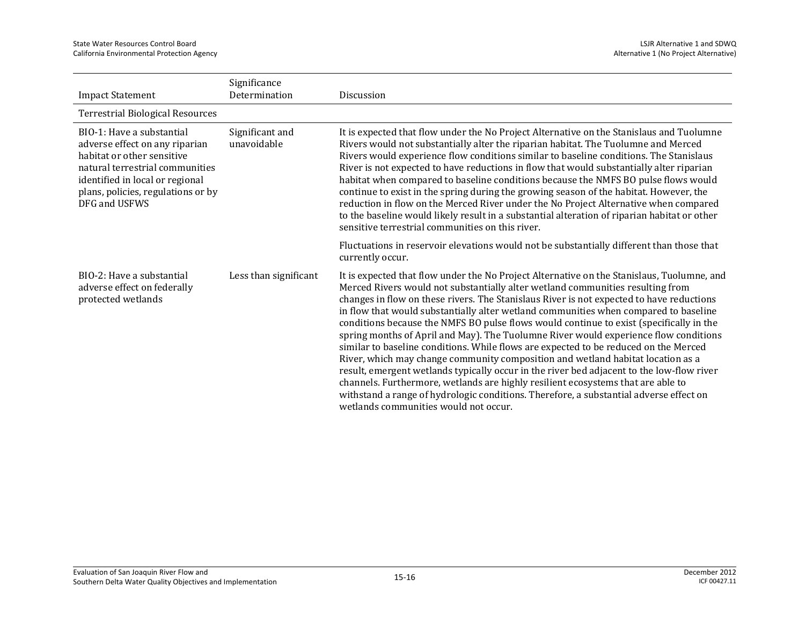| <b>Impact Statement</b>                                                                                                                                                                                                | Significance<br>Determination  | Discussion                                                                                                                                                                                                                                                                                                                                                                                                                                                                                                                                                                                                                                                                                                                                                                                                                                                                                                                                                                                                                                         |
|------------------------------------------------------------------------------------------------------------------------------------------------------------------------------------------------------------------------|--------------------------------|----------------------------------------------------------------------------------------------------------------------------------------------------------------------------------------------------------------------------------------------------------------------------------------------------------------------------------------------------------------------------------------------------------------------------------------------------------------------------------------------------------------------------------------------------------------------------------------------------------------------------------------------------------------------------------------------------------------------------------------------------------------------------------------------------------------------------------------------------------------------------------------------------------------------------------------------------------------------------------------------------------------------------------------------------|
|                                                                                                                                                                                                                        |                                |                                                                                                                                                                                                                                                                                                                                                                                                                                                                                                                                                                                                                                                                                                                                                                                                                                                                                                                                                                                                                                                    |
| <b>Terrestrial Biological Resources</b>                                                                                                                                                                                |                                |                                                                                                                                                                                                                                                                                                                                                                                                                                                                                                                                                                                                                                                                                                                                                                                                                                                                                                                                                                                                                                                    |
| BIO-1: Have a substantial<br>adverse effect on any riparian<br>habitat or other sensitive<br>natural terrestrial communities<br>identified in local or regional<br>plans, policies, regulations or by<br>DFG and USFWS | Significant and<br>unavoidable | It is expected that flow under the No Project Alternative on the Stanislaus and Tuolumne<br>Rivers would not substantially alter the riparian habitat. The Tuolumne and Merced<br>Rivers would experience flow conditions similar to baseline conditions. The Stanislaus<br>River is not expected to have reductions in flow that would substantially alter riparian<br>habitat when compared to baseline conditions because the NMFS BO pulse flows would<br>continue to exist in the spring during the growing season of the habitat. However, the<br>reduction in flow on the Merced River under the No Project Alternative when compared<br>to the baseline would likely result in a substantial alteration of riparian habitat or other<br>sensitive terrestrial communities on this river.                                                                                                                                                                                                                                                   |
|                                                                                                                                                                                                                        |                                | Fluctuations in reservoir elevations would not be substantially different than those that<br>currently occur.                                                                                                                                                                                                                                                                                                                                                                                                                                                                                                                                                                                                                                                                                                                                                                                                                                                                                                                                      |
| BIO-2: Have a substantial<br>adverse effect on federally<br>protected wetlands                                                                                                                                         | Less than significant          | It is expected that flow under the No Project Alternative on the Stanislaus, Tuolumne, and<br>Merced Rivers would not substantially alter wetland communities resulting from<br>changes in flow on these rivers. The Stanislaus River is not expected to have reductions<br>in flow that would substantially alter wetland communities when compared to baseline<br>conditions because the NMFS BO pulse flows would continue to exist (specifically in the<br>spring months of April and May). The Tuolumne River would experience flow conditions<br>similar to baseline conditions. While flows are expected to be reduced on the Merced<br>River, which may change community composition and wetland habitat location as a<br>result, emergent wetlands typically occur in the river bed adjacent to the low-flow river<br>channels. Furthermore, wetlands are highly resilient ecosystems that are able to<br>withstand a range of hydrologic conditions. Therefore, a substantial adverse effect on<br>wetlands communities would not occur. |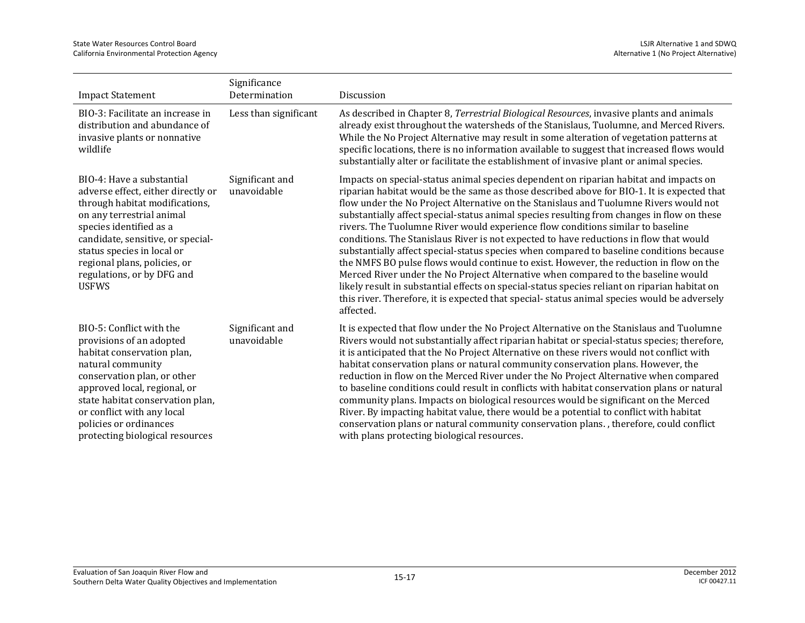| <b>Impact Statement</b>                                                                                                                                                                                                                                                                                    | Significance<br>Determination  | Discussion                                                                                                                                                                                                                                                                                                                                                                                                                                                                                                                                                                                                                                                                                                                                                                                                                                                                                                                                                                                                                                      |
|------------------------------------------------------------------------------------------------------------------------------------------------------------------------------------------------------------------------------------------------------------------------------------------------------------|--------------------------------|-------------------------------------------------------------------------------------------------------------------------------------------------------------------------------------------------------------------------------------------------------------------------------------------------------------------------------------------------------------------------------------------------------------------------------------------------------------------------------------------------------------------------------------------------------------------------------------------------------------------------------------------------------------------------------------------------------------------------------------------------------------------------------------------------------------------------------------------------------------------------------------------------------------------------------------------------------------------------------------------------------------------------------------------------|
| BIO-3: Facilitate an increase in<br>distribution and abundance of<br>invasive plants or nonnative<br>wildlife                                                                                                                                                                                              | Less than significant          | As described in Chapter 8, Terrestrial Biological Resources, invasive plants and animals<br>already exist throughout the watersheds of the Stanislaus, Tuolumne, and Merced Rivers.<br>While the No Project Alternative may result in some alteration of vegetation patterns at<br>specific locations, there is no information available to suggest that increased flows would<br>substantially alter or facilitate the establishment of invasive plant or animal species.                                                                                                                                                                                                                                                                                                                                                                                                                                                                                                                                                                      |
| BIO-4: Have a substantial<br>adverse effect, either directly or<br>through habitat modifications,<br>on any terrestrial animal<br>species identified as a<br>candidate, sensitive, or special-<br>status species in local or<br>regional plans, policies, or<br>regulations, or by DFG and<br><b>USFWS</b> | Significant and<br>unavoidable | Impacts on special-status animal species dependent on riparian habitat and impacts on<br>riparian habitat would be the same as those described above for BIO-1. It is expected that<br>flow under the No Project Alternative on the Stanislaus and Tuolumne Rivers would not<br>substantially affect special-status animal species resulting from changes in flow on these<br>rivers. The Tuolumne River would experience flow conditions similar to baseline<br>conditions. The Stanislaus River is not expected to have reductions in flow that would<br>substantially affect special-status species when compared to baseline conditions because<br>the NMFS BO pulse flows would continue to exist. However, the reduction in flow on the<br>Merced River under the No Project Alternative when compared to the baseline would<br>likely result in substantial effects on special-status species reliant on riparian habitat on<br>this river. Therefore, it is expected that special-status animal species would be adversely<br>affected. |
| BIO-5: Conflict with the<br>provisions of an adopted<br>habitat conservation plan,<br>natural community<br>conservation plan, or other<br>approved local, regional, or<br>state habitat conservation plan,<br>or conflict with any local<br>policies or ordinances<br>protecting biological resources      | Significant and<br>unavoidable | It is expected that flow under the No Project Alternative on the Stanislaus and Tuolumne<br>Rivers would not substantially affect riparian habitat or special-status species; therefore,<br>it is anticipated that the No Project Alternative on these rivers would not conflict with<br>habitat conservation plans or natural community conservation plans. However, the<br>reduction in flow on the Merced River under the No Project Alternative when compared<br>to baseline conditions could result in conflicts with habitat conservation plans or natural<br>community plans. Impacts on biological resources would be significant on the Merced<br>River. By impacting habitat value, there would be a potential to conflict with habitat<br>conservation plans or natural community conservation plans., therefore, could conflict<br>with plans protecting biological resources.                                                                                                                                                      |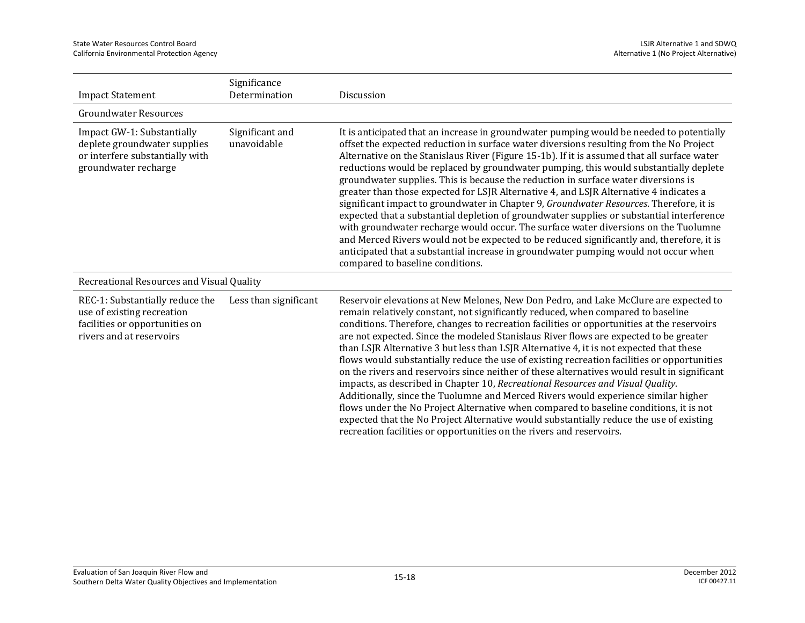| <b>Impact Statement</b>                                                                                                     | Significance<br>Determination  | Discussion                                                                                                                                                                                                                                                                                                                                                                                                                                                                                                                                                                                                                                                                                                                                                                                                                                                                                                                                                                                                                                                                                      |
|-----------------------------------------------------------------------------------------------------------------------------|--------------------------------|-------------------------------------------------------------------------------------------------------------------------------------------------------------------------------------------------------------------------------------------------------------------------------------------------------------------------------------------------------------------------------------------------------------------------------------------------------------------------------------------------------------------------------------------------------------------------------------------------------------------------------------------------------------------------------------------------------------------------------------------------------------------------------------------------------------------------------------------------------------------------------------------------------------------------------------------------------------------------------------------------------------------------------------------------------------------------------------------------|
| <b>Groundwater Resources</b>                                                                                                |                                |                                                                                                                                                                                                                                                                                                                                                                                                                                                                                                                                                                                                                                                                                                                                                                                                                                                                                                                                                                                                                                                                                                 |
| Impact GW-1: Substantially<br>deplete groundwater supplies<br>or interfere substantially with<br>groundwater recharge       | Significant and<br>unavoidable | It is anticipated that an increase in groundwater pumping would be needed to potentially<br>offset the expected reduction in surface water diversions resulting from the No Project<br>Alternative on the Stanislaus River (Figure 15-1b). If it is assumed that all surface water<br>reductions would be replaced by groundwater pumping, this would substantially deplete<br>groundwater supplies. This is because the reduction in surface water diversions is<br>greater than those expected for LSJR Alternative 4, and LSJR Alternative 4 indicates a<br>significant impact to groundwater in Chapter 9, Groundwater Resources. Therefore, it is<br>expected that a substantial depletion of groundwater supplies or substantial interference<br>with groundwater recharge would occur. The surface water diversions on the Tuolumne<br>and Merced Rivers would not be expected to be reduced significantly and, therefore, it is<br>anticipated that a substantial increase in groundwater pumping would not occur when<br>compared to baseline conditions.                              |
| Recreational Resources and Visual Quality                                                                                   |                                |                                                                                                                                                                                                                                                                                                                                                                                                                                                                                                                                                                                                                                                                                                                                                                                                                                                                                                                                                                                                                                                                                                 |
| REC-1: Substantially reduce the<br>use of existing recreation<br>facilities or opportunities on<br>rivers and at reservoirs | Less than significant          | Reservoir elevations at New Melones, New Don Pedro, and Lake McClure are expected to<br>remain relatively constant, not significantly reduced, when compared to baseline<br>conditions. Therefore, changes to recreation facilities or opportunities at the reservoirs<br>are not expected. Since the modeled Stanislaus River flows are expected to be greater<br>than LSJR Alternative 3 but less than LSJR Alternative 4, it is not expected that these<br>flows would substantially reduce the use of existing recreation facilities or opportunities<br>on the rivers and reservoirs since neither of these alternatives would result in significant<br>impacts, as described in Chapter 10, Recreational Resources and Visual Quality.<br>Additionally, since the Tuolumne and Merced Rivers would experience similar higher<br>flows under the No Project Alternative when compared to baseline conditions, it is not<br>expected that the No Project Alternative would substantially reduce the use of existing<br>recreation facilities or opportunities on the rivers and reservoirs. |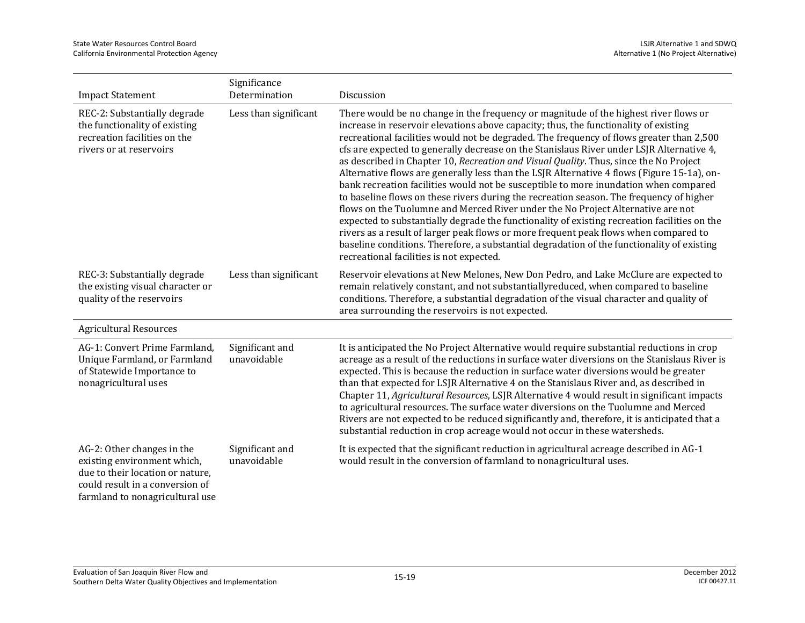| <b>Impact Statement</b>                                                                                                                                             | Significance<br>Determination  | Discussion                                                                                                                                                                                                                                                                                                                                                                                                                                                                                                                                                                                                                                                                                                                                                                                                                                                                                                                                                                                                                                                                                                                                                          |
|---------------------------------------------------------------------------------------------------------------------------------------------------------------------|--------------------------------|---------------------------------------------------------------------------------------------------------------------------------------------------------------------------------------------------------------------------------------------------------------------------------------------------------------------------------------------------------------------------------------------------------------------------------------------------------------------------------------------------------------------------------------------------------------------------------------------------------------------------------------------------------------------------------------------------------------------------------------------------------------------------------------------------------------------------------------------------------------------------------------------------------------------------------------------------------------------------------------------------------------------------------------------------------------------------------------------------------------------------------------------------------------------|
| REC-2: Substantially degrade<br>the functionality of existing<br>recreation facilities on the<br>rivers or at reservoirs                                            | Less than significant          | There would be no change in the frequency or magnitude of the highest river flows or<br>increase in reservoir elevations above capacity; thus, the functionality of existing<br>recreational facilities would not be degraded. The frequency of flows greater than 2,500<br>cfs are expected to generally decrease on the Stanislaus River under LSJR Alternative 4,<br>as described in Chapter 10, Recreation and Visual Quality. Thus, since the No Project<br>Alternative flows are generally less than the LSJR Alternative 4 flows (Figure 15-1a), on-<br>bank recreation facilities would not be susceptible to more inundation when compared<br>to baseline flows on these rivers during the recreation season. The frequency of higher<br>flows on the Tuolumne and Merced River under the No Project Alternative are not<br>expected to substantially degrade the functionality of existing recreation facilities on the<br>rivers as a result of larger peak flows or more frequent peak flows when compared to<br>baseline conditions. Therefore, a substantial degradation of the functionality of existing<br>recreational facilities is not expected. |
| REC-3: Substantially degrade<br>the existing visual character or<br>quality of the reservoirs                                                                       | Less than significant          | Reservoir elevations at New Melones, New Don Pedro, and Lake McClure are expected to<br>remain relatively constant, and not substantiallyreduced, when compared to baseline<br>conditions. Therefore, a substantial degradation of the visual character and quality of<br>area surrounding the reservoirs is not expected.                                                                                                                                                                                                                                                                                                                                                                                                                                                                                                                                                                                                                                                                                                                                                                                                                                          |
| <b>Agricultural Resources</b>                                                                                                                                       |                                |                                                                                                                                                                                                                                                                                                                                                                                                                                                                                                                                                                                                                                                                                                                                                                                                                                                                                                                                                                                                                                                                                                                                                                     |
| AG-1: Convert Prime Farmland,<br>Unique Farmland, or Farmland<br>of Statewide Importance to<br>nonagricultural uses                                                 | Significant and<br>unavoidable | It is anticipated the No Project Alternative would require substantial reductions in crop<br>acreage as a result of the reductions in surface water diversions on the Stanislaus River is<br>expected. This is because the reduction in surface water diversions would be greater<br>than that expected for LSJR Alternative 4 on the Stanislaus River and, as described in<br>Chapter 11, Agricultural Resources, LSJR Alternative 4 would result in significant impacts<br>to agricultural resources. The surface water diversions on the Tuolumne and Merced<br>Rivers are not expected to be reduced significantly and, therefore, it is anticipated that a<br>substantial reduction in crop acreage would not occur in these watersheds.                                                                                                                                                                                                                                                                                                                                                                                                                       |
| AG-2: Other changes in the<br>existing environment which,<br>due to their location or nature,<br>could result in a conversion of<br>farmland to nonagricultural use | Significant and<br>unavoidable | It is expected that the significant reduction in agricultural acreage described in AG-1<br>would result in the conversion of farmland to nonagricultural uses.                                                                                                                                                                                                                                                                                                                                                                                                                                                                                                                                                                                                                                                                                                                                                                                                                                                                                                                                                                                                      |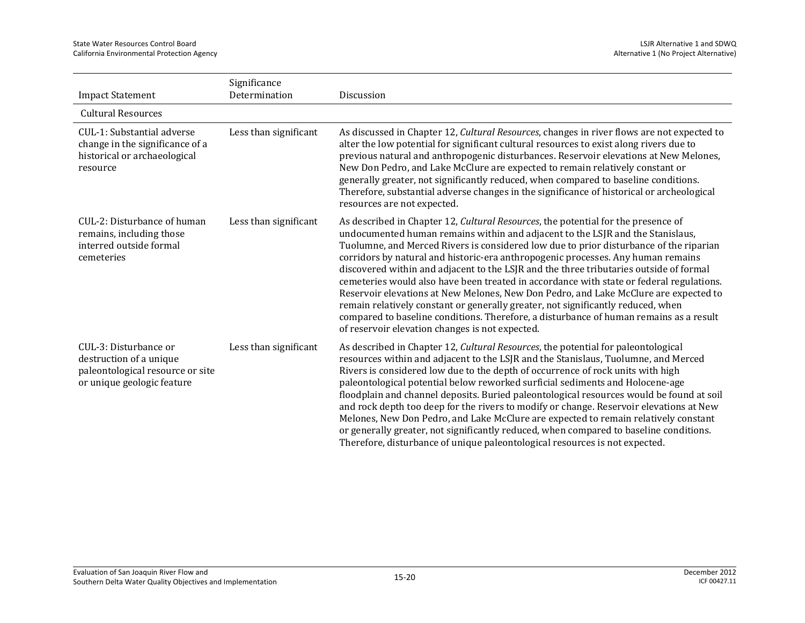|                                                                                                                    | Significance          |                                                                                                                                                                                                                                                                                                                                                                                                                                                                                                                                                                                                                                                                                                                                                                                                                                                                          |
|--------------------------------------------------------------------------------------------------------------------|-----------------------|--------------------------------------------------------------------------------------------------------------------------------------------------------------------------------------------------------------------------------------------------------------------------------------------------------------------------------------------------------------------------------------------------------------------------------------------------------------------------------------------------------------------------------------------------------------------------------------------------------------------------------------------------------------------------------------------------------------------------------------------------------------------------------------------------------------------------------------------------------------------------|
| <b>Impact Statement</b>                                                                                            | Determination         | Discussion                                                                                                                                                                                                                                                                                                                                                                                                                                                                                                                                                                                                                                                                                                                                                                                                                                                               |
| <b>Cultural Resources</b>                                                                                          |                       |                                                                                                                                                                                                                                                                                                                                                                                                                                                                                                                                                                                                                                                                                                                                                                                                                                                                          |
| CUL-1: Substantial adverse<br>change in the significance of a<br>historical or archaeological<br>resource          | Less than significant | As discussed in Chapter 12, Cultural Resources, changes in river flows are not expected to<br>alter the low potential for significant cultural resources to exist along rivers due to<br>previous natural and anthropogenic disturbances. Reservoir elevations at New Melones,<br>New Don Pedro, and Lake McClure are expected to remain relatively constant or<br>generally greater, not significantly reduced, when compared to baseline conditions.<br>Therefore, substantial adverse changes in the significance of historical or archeological<br>resources are not expected.                                                                                                                                                                                                                                                                                       |
| CUL-2: Disturbance of human<br>remains, including those<br>interred outside formal<br>cemeteries                   | Less than significant | As described in Chapter 12, <i>Cultural Resources</i> , the potential for the presence of<br>undocumented human remains within and adjacent to the LSJR and the Stanislaus,<br>Tuolumne, and Merced Rivers is considered low due to prior disturbance of the riparian<br>corridors by natural and historic-era anthropogenic processes. Any human remains<br>discovered within and adjacent to the LSJR and the three tributaries outside of formal<br>cemeteries would also have been treated in accordance with state or federal regulations.<br>Reservoir elevations at New Melones, New Don Pedro, and Lake McClure are expected to<br>remain relatively constant or generally greater, not significantly reduced, when<br>compared to baseline conditions. Therefore, a disturbance of human remains as a result<br>of reservoir elevation changes is not expected. |
| CUL-3: Disturbance or<br>destruction of a unique<br>paleontological resource or site<br>or unique geologic feature | Less than significant | As described in Chapter 12, Cultural Resources, the potential for paleontological<br>resources within and adjacent to the LSJR and the Stanislaus, Tuolumne, and Merced<br>Rivers is considered low due to the depth of occurrence of rock units with high<br>paleontological potential below reworked surficial sediments and Holocene-age<br>floodplain and channel deposits. Buried paleontological resources would be found at soil<br>and rock depth too deep for the rivers to modify or change. Reservoir elevations at New<br>Melones, New Don Pedro, and Lake McClure are expected to remain relatively constant<br>or generally greater, not significantly reduced, when compared to baseline conditions.<br>Therefore, disturbance of unique paleontological resources is not expected.                                                                       |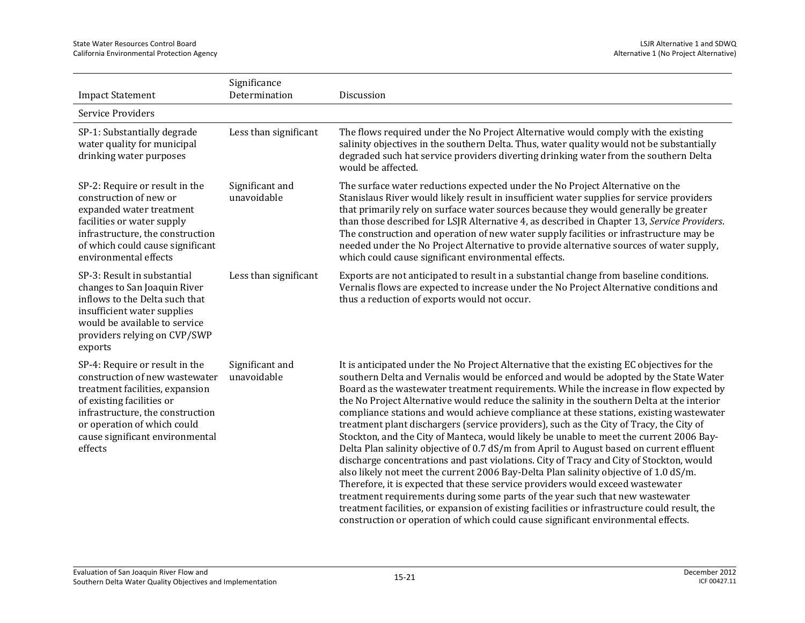| <b>Impact Statement</b>                                                                                                                                                                                                                           | Significance<br>Determination  | Discussion                                                                                                                                                                                                                                                                                                                                                                                                                                                                                                                                                                                                                                                                                                                                                                                                                                                                                                                                                                                                                                                                                                                                                                                                                                                                                           |
|---------------------------------------------------------------------------------------------------------------------------------------------------------------------------------------------------------------------------------------------------|--------------------------------|------------------------------------------------------------------------------------------------------------------------------------------------------------------------------------------------------------------------------------------------------------------------------------------------------------------------------------------------------------------------------------------------------------------------------------------------------------------------------------------------------------------------------------------------------------------------------------------------------------------------------------------------------------------------------------------------------------------------------------------------------------------------------------------------------------------------------------------------------------------------------------------------------------------------------------------------------------------------------------------------------------------------------------------------------------------------------------------------------------------------------------------------------------------------------------------------------------------------------------------------------------------------------------------------------|
| Service Providers                                                                                                                                                                                                                                 |                                |                                                                                                                                                                                                                                                                                                                                                                                                                                                                                                                                                                                                                                                                                                                                                                                                                                                                                                                                                                                                                                                                                                                                                                                                                                                                                                      |
| SP-1: Substantially degrade<br>water quality for municipal<br>drinking water purposes                                                                                                                                                             | Less than significant          | The flows required under the No Project Alternative would comply with the existing<br>salinity objectives in the southern Delta. Thus, water quality would not be substantially<br>degraded such hat service providers diverting drinking water from the southern Delta<br>would be affected.                                                                                                                                                                                                                                                                                                                                                                                                                                                                                                                                                                                                                                                                                                                                                                                                                                                                                                                                                                                                        |
| SP-2: Require or result in the<br>construction of new or<br>expanded water treatment<br>facilities or water supply<br>infrastructure, the construction<br>of which could cause significant<br>environmental effects                               | Significant and<br>unavoidable | The surface water reductions expected under the No Project Alternative on the<br>Stanislaus River would likely result in insufficient water supplies for service providers<br>that primarily rely on surface water sources because they would generally be greater<br>than those described for LSJR Alternative 4, as described in Chapter 13, Service Providers.<br>The construction and operation of new water supply facilities or infrastructure may be<br>needed under the No Project Alternative to provide alternative sources of water supply,<br>which could cause significant environmental effects.                                                                                                                                                                                                                                                                                                                                                                                                                                                                                                                                                                                                                                                                                       |
| SP-3: Result in substantial<br>changes to San Joaquin River<br>inflows to the Delta such that<br>insufficient water supplies<br>would be available to service<br>providers relying on CVP/SWP<br>exports                                          | Less than significant          | Exports are not anticipated to result in a substantial change from baseline conditions.<br>Vernalis flows are expected to increase under the No Project Alternative conditions and<br>thus a reduction of exports would not occur.                                                                                                                                                                                                                                                                                                                                                                                                                                                                                                                                                                                                                                                                                                                                                                                                                                                                                                                                                                                                                                                                   |
| SP-4: Require or result in the<br>construction of new wastewater<br>treatment facilities, expansion<br>of existing facilities or<br>infrastructure, the construction<br>or operation of which could<br>cause significant environmental<br>effects | Significant and<br>unavoidable | It is anticipated under the No Project Alternative that the existing EC objectives for the<br>southern Delta and Vernalis would be enforced and would be adopted by the State Water<br>Board as the wastewater treatment requirements. While the increase in flow expected by<br>the No Project Alternative would reduce the salinity in the southern Delta at the interior<br>compliance stations and would achieve compliance at these stations, existing wastewater<br>treatment plant dischargers (service providers), such as the City of Tracy, the City of<br>Stockton, and the City of Manteca, would likely be unable to meet the current 2006 Bay-<br>Delta Plan salinity objective of 0.7 dS/m from April to August based on current effluent<br>discharge concentrations and past violations. City of Tracy and City of Stockton, would<br>also likely not meet the current 2006 Bay-Delta Plan salinity objective of 1.0 dS/m.<br>Therefore, it is expected that these service providers would exceed wastewater<br>treatment requirements during some parts of the year such that new wastewater<br>treatment facilities, or expansion of existing facilities or infrastructure could result, the<br>construction or operation of which could cause significant environmental effects. |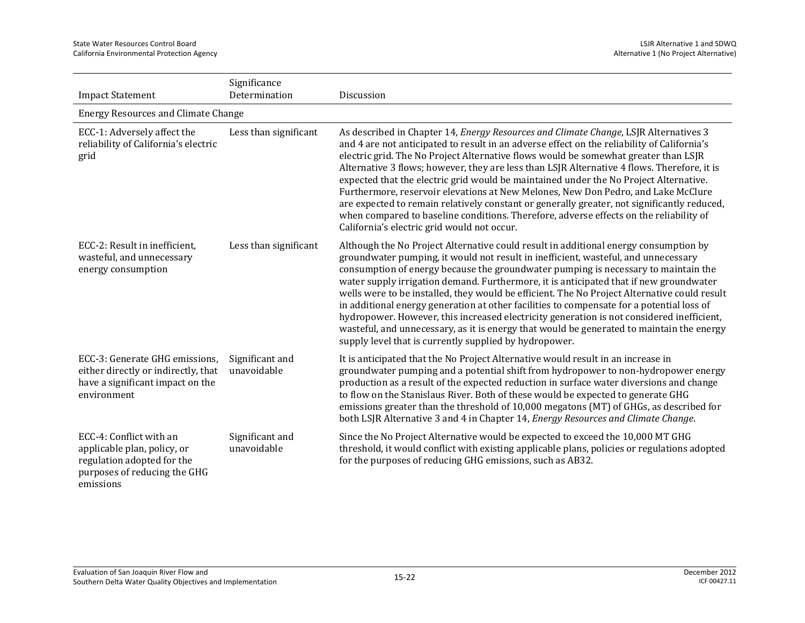| <b>Impact Statement</b>                                                                                                           | Significance<br>Determination  | Discussion                                                                                                                                                                                                                                                                                                                                                                                                                                                                                                                                                                                                                                                                                                                                                                                                  |  |
|-----------------------------------------------------------------------------------------------------------------------------------|--------------------------------|-------------------------------------------------------------------------------------------------------------------------------------------------------------------------------------------------------------------------------------------------------------------------------------------------------------------------------------------------------------------------------------------------------------------------------------------------------------------------------------------------------------------------------------------------------------------------------------------------------------------------------------------------------------------------------------------------------------------------------------------------------------------------------------------------------------|--|
| <b>Energy Resources and Climate Change</b>                                                                                        |                                |                                                                                                                                                                                                                                                                                                                                                                                                                                                                                                                                                                                                                                                                                                                                                                                                             |  |
| ECC-1: Adversely affect the<br>reliability of California's electric<br>grid                                                       | Less than significant          | As described in Chapter 14, Energy Resources and Climate Change, LSJR Alternatives 3<br>and 4 are not anticipated to result in an adverse effect on the reliability of California's<br>electric grid. The No Project Alternative flows would be somewhat greater than LSJR<br>Alternative 3 flows; however, they are less than LSJR Alternative 4 flows. Therefore, it is<br>expected that the electric grid would be maintained under the No Project Alternative.<br>Furthermore, reservoir elevations at New Melones, New Don Pedro, and Lake McClure<br>are expected to remain relatively constant or generally greater, not significantly reduced,<br>when compared to baseline conditions. Therefore, adverse effects on the reliability of<br>California's electric grid would not occur.             |  |
| ECC-2: Result in inefficient,<br>wasteful, and unnecessary<br>energy consumption                                                  | Less than significant          | Although the No Project Alternative could result in additional energy consumption by<br>groundwater pumping, it would not result in inefficient, wasteful, and unnecessary<br>consumption of energy because the groundwater pumping is necessary to maintain the<br>water supply irrigation demand. Furthermore, it is anticipated that if new groundwater<br>wells were to be installed, they would be efficient. The No Project Alternative could result<br>in additional energy generation at other facilities to compensate for a potential loss of<br>hydropower. However, this increased electricity generation is not considered inefficient,<br>wasteful, and unnecessary, as it is energy that would be generated to maintain the energy<br>supply level that is currently supplied by hydropower. |  |
| ECC-3: Generate GHG emissions,<br>either directly or indirectly, that<br>have a significant impact on the<br>environment          | Significant and<br>unavoidable | It is anticipated that the No Project Alternative would result in an increase in<br>groundwater pumping and a potential shift from hydropower to non-hydropower energy<br>production as a result of the expected reduction in surface water diversions and change<br>to flow on the Stanislaus River. Both of these would be expected to generate GHG<br>emissions greater than the threshold of 10,000 megatons (MT) of GHGs, as described for<br>both LSJR Alternative 3 and 4 in Chapter 14, <i>Energy Resources and Climate Change</i> .                                                                                                                                                                                                                                                                |  |
| ECC-4: Conflict with an<br>applicable plan, policy, or<br>regulation adopted for the<br>purposes of reducing the GHG<br>emissions | Significant and<br>unavoidable | Since the No Project Alternative would be expected to exceed the 10,000 MT GHG<br>threshold, it would conflict with existing applicable plans, policies or regulations adopted<br>for the purposes of reducing GHG emissions, such as AB32.                                                                                                                                                                                                                                                                                                                                                                                                                                                                                                                                                                 |  |